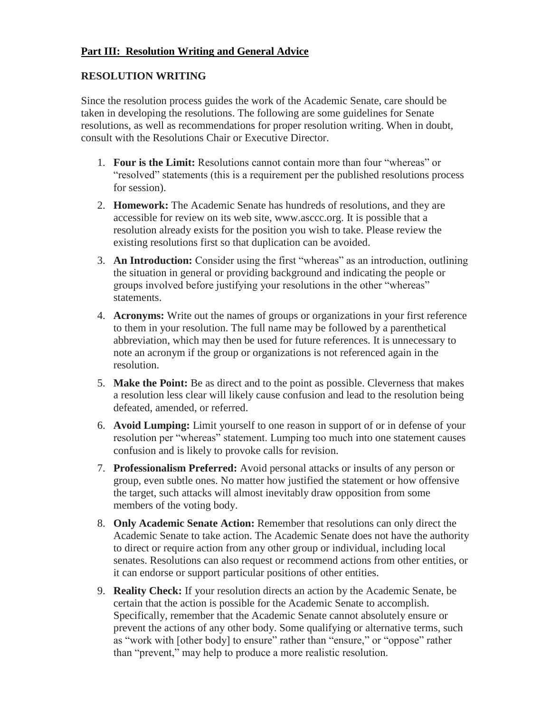# **Part III: Resolution Writing and General Advice**

### **RESOLUTION WRITING**

Since the resolution process guides the work of the Academic Senate, care should be taken in developing the resolutions. The following are some guidelines for Senate resolutions, as well as recommendations for proper resolution writing. When in doubt, consult with the Resolutions Chair or Executive Director.

- 1. **Four is the Limit:** Resolutions cannot contain more than four "whereas" or "resolved" statements (this is a requirement per the published resolutions process for session).
- 2. **Homework:** The Academic Senate has hundreds of resolutions, and they are [accessible for review on its web site, www.asccc.org.](http://www.asccc.org/) It is possible that a resolution already exists for the position you wish to take. Please review the existing resolutions first so that duplication can be avoided.
- 3. **An Introduction:** Consider using the first "whereas" as an introduction, outlining the situation in general or providing background and indicating the people or groups involved before justifying your resolutions in the other "whereas" statements.
- 4. **Acronyms:** Write out the names of groups or organizations in your first reference to them in your resolution. The full name may be followed by a parenthetical abbreviation, which may then be used for future references. It is unnecessary to note an acronym if the group or organizations is not referenced again in the resolution.
- 5. **Make the Point:** Be as direct and to the point as possible. Cleverness that makes a resolution less clear will likely cause confusion and lead to the resolution being defeated, amended, or referred.
- 6. **Avoid Lumping:** Limit yourself to one reason in support of or in defense of your resolution per "whereas" statement. Lumping too much into one statement causes confusion and is likely to provoke calls for revision.
- 7. **Professionalism Preferred:** Avoid personal attacks or insults of any person or group, even subtle ones. No matter how justified the statement or how offensive the target, such attacks will almost inevitably draw opposition from some members of the voting body.
- 8. **Only Academic Senate Action:** Remember that resolutions can only direct the Academic Senate to take action. The Academic Senate does not have the authority to direct or require action from any other group or individual, including local senates. Resolutions can also request or recommend actions from other entities, or it can endorse or support particular positions of other entities.
- 9. **Reality Check:** If your resolution directs an action by the Academic Senate, be certain that the action is possible for the Academic Senate to accomplish. Specifically, remember that the Academic Senate cannot absolutely ensure or prevent the actions of any other body. Some qualifying or alternative terms, such as "work with [other body] to ensure" rather than "ensure," or "oppose" rather than "prevent," may help to produce a more realistic resolution.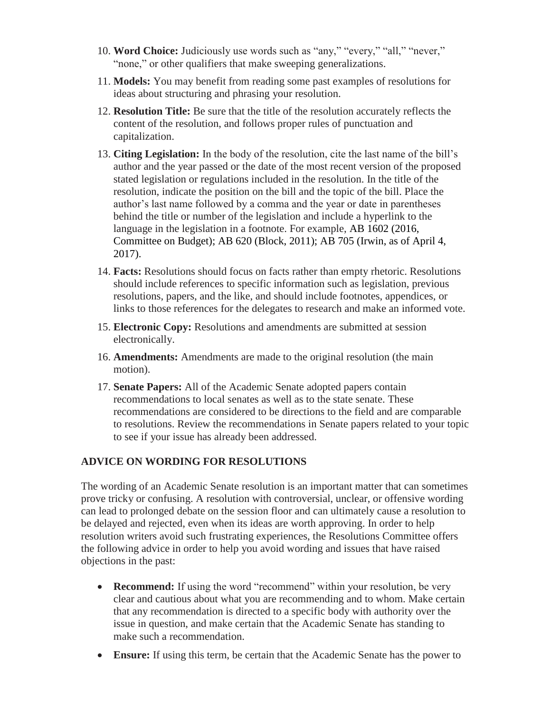- 10. **Word Choice:** Judiciously use words such as "any," "every," "all," "never," "none," or other qualifiers that make sweeping generalizations.
- 11. **Models:** You may benefit from reading some past examples of resolutions for ideas about structuring and phrasing your resolution.
- 12. **Resolution Title:** Be sure that the title of the resolution accurately reflects the content of the resolution, and follows proper rules of punctuation and capitalization.
- 13. **Citing Legislation:** In the body of the resolution, cite the last name of the bill's author and the year passed or the date of the most recent version of the proposed stated legislation or regulations included in the resolution. In the title of the resolution, indicate the position on the bill and the topic of the bill. Place the author's last name followed by a comma and the year or date in parentheses behind the title or number of the legislation and include a hyperlink to the language in the legislation in a footnote. For example, AB 1602 (2016, Committee on Budget); AB 620 (Block, 2011); AB 705 (Irwin, as of April 4, 2017).
- 14. **Facts:** Resolutions should focus on facts rather than empty rhetoric. Resolutions should include references to specific information such as legislation, previous resolutions, papers, and the like, and should include footnotes, appendices, or links to those references for the delegates to research and make an informed vote.
- 15. **Electronic Copy:** Resolutions and amendments are submitted at session electronically.
- 16. **Amendments:** Amendments are made to the original resolution (the main motion).
- 17. **Senate Papers:** All of the Academic Senate adopted papers contain recommendations to local senates as well as to the state senate. These recommendations are considered to be directions to the field and are comparable to resolutions. Review the recommendations in Senate papers related to your topic to see if your issue has already been addressed.

# **ADVICE ON WORDING FOR RESOLUTIONS**

The wording of an Academic Senate resolution is an important matter that can sometimes prove tricky or confusing. A resolution with controversial, unclear, or offensive wording can lead to prolonged debate on the session floor and can ultimately cause a resolution to be delayed and rejected, even when its ideas are worth approving. In order to help resolution writers avoid such frustrating experiences, the Resolutions Committee offers the following advice in order to help you avoid wording and issues that have raised objections in the past:

- **Recommend:** If using the word "recommend" within your resolution, be very clear and cautious about what you are recommending and to whom. Make certain that any recommendation is directed to a specific body with authority over the issue in question, and make certain that the Academic Senate has standing to make such a recommendation.
- **Ensure:** If using this term, be certain that the Academic Senate has the power to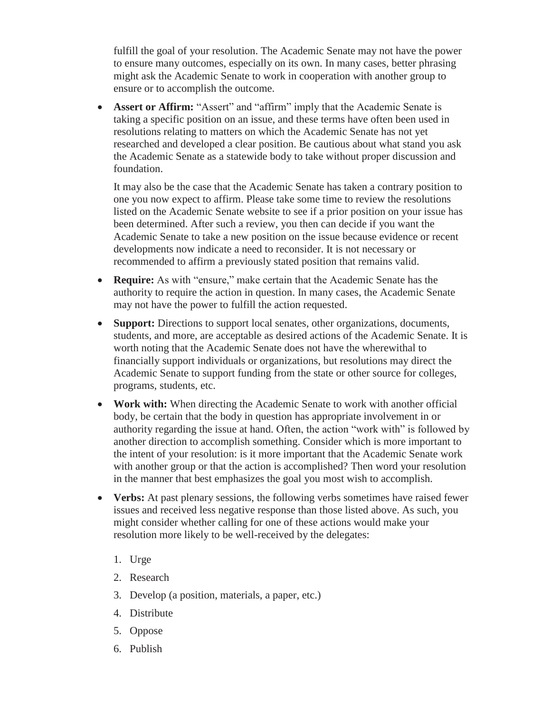fulfill the goal of your resolution. The Academic Senate may not have the power to ensure many outcomes, especially on its own. In many cases, better phrasing might ask the Academic Senate to work in cooperation with another group to ensure or to accomplish the outcome.

• **Assert or Affirm:** "Assert" and "affirm" imply that the Academic Senate is taking a specific position on an issue, and these terms have often been used in resolutions relating to matters on which the Academic Senate has not yet researched and developed a clear position. Be cautious about what stand you ask the Academic Senate as a statewide body to take without proper discussion and foundation.

It may also be the case that the Academic Senate has taken a contrary position to one you now expect to affirm. Please take some time to review the resolutions listed on the Academic Senate website to see if a prior position on your issue has been determined. After such a review, you then can decide if you want the Academic Senate to take a new position on the issue because evidence or recent developments now indicate a need to reconsider. It is not necessary or recommended to affirm a previously stated position that remains valid.

- **Require:** As with "ensure," make certain that the Academic Senate has the authority to require the action in question. In many cases, the Academic Senate may not have the power to fulfill the action requested.
- **Support:** Directions to support local senates, other organizations, documents, students, and more, are acceptable as desired actions of the Academic Senate. It is worth noting that the Academic Senate does not have the wherewithal to financially support individuals or organizations, but resolutions may direct the Academic Senate to support funding from the state or other source for colleges, programs, students, etc.
- **Work with:** When directing the Academic Senate to work with another official body, be certain that the body in question has appropriate involvement in or authority regarding the issue at hand. Often, the action "work with" is followed by another direction to accomplish something. Consider which is more important to the intent of your resolution: is it more important that the Academic Senate work with another group or that the action is accomplished? Then word your resolution in the manner that best emphasizes the goal you most wish to accomplish.
- Verbs: At past plenary sessions, the following verbs sometimes have raised fewer issues and received less negative response than those listed above. As such, you might consider whether calling for one of these actions would make your resolution more likely to be well-received by the delegates:
	- 1. Urge
	- 2. Research
	- 3. Develop (a position, materials, a paper, etc.)
	- 4. Distribute
	- 5. Oppose
	- 6. Publish